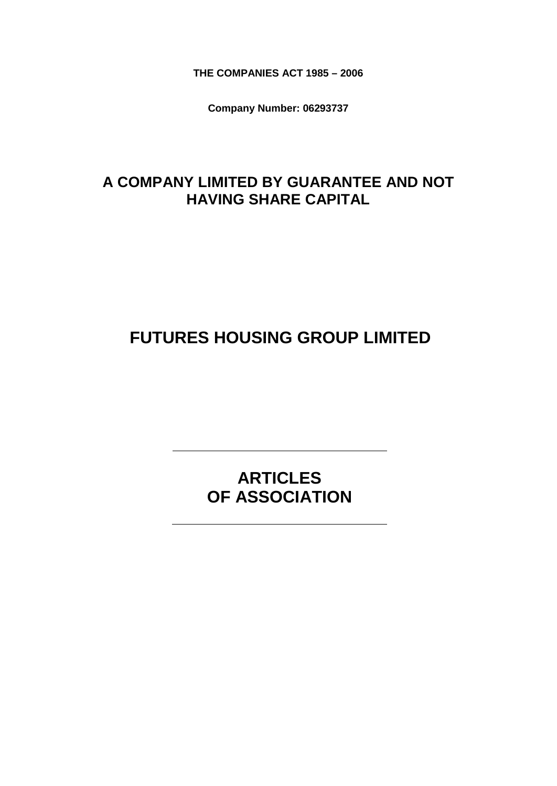**THE COMPANIES ACT 1985 – 2006**

**Company Number: 06293737**

# **A COMPANY LIMITED BY GUARANTEE AND NOT HAVING SHARE CAPITAL**

# **FUTURES HOUSING GROUP LIMITED**

**ARTICLES OF ASSOCIATION**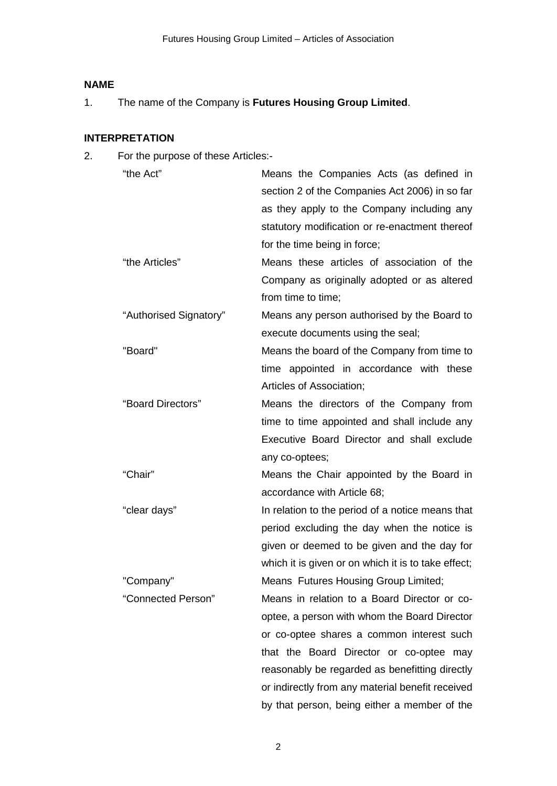# **NAME**

1. The name of the Company is **Futures Housing Group Limited**.

## **INTERPRETATION**

2. For the purpose of these Articles:-

| "the Act"              | Means the Companies Acts (as defined in             |
|------------------------|-----------------------------------------------------|
|                        | section 2 of the Companies Act 2006) in so far      |
|                        | as they apply to the Company including any          |
|                        | statutory modification or re-enactment thereof      |
|                        | for the time being in force;                        |
| "the Articles"         | Means these articles of association of the          |
|                        | Company as originally adopted or as altered         |
|                        | from time to time;                                  |
| "Authorised Signatory" | Means any person authorised by the Board to         |
|                        | execute documents using the seal;                   |
| "Board"                | Means the board of the Company from time to         |
|                        | time appointed in accordance with these             |
|                        | Articles of Association;                            |
| "Board Directors"      | Means the directors of the Company from             |
|                        | time to time appointed and shall include any        |
|                        | Executive Board Director and shall exclude          |
|                        | any co-optees;                                      |
| "Chair"                | Means the Chair appointed by the Board in           |
|                        | accordance with Article 68;                         |
| "clear days"           | In relation to the period of a notice means that    |
|                        | period excluding the day when the notice is         |
|                        | given or deemed to be given and the day for         |
|                        | which it is given or on which it is to take effect; |
| "Company"              | Means Futures Housing Group Limited;                |
| "Connected Person"     | Means in relation to a Board Director or co-        |
|                        | optee, a person with whom the Board Director        |
|                        | or co-optee shares a common interest such           |
|                        | that the Board Director or co-optee may             |
|                        | reasonably be regarded as benefitting directly      |
|                        | or indirectly from any material benefit received    |
|                        | by that person, being either a member of the        |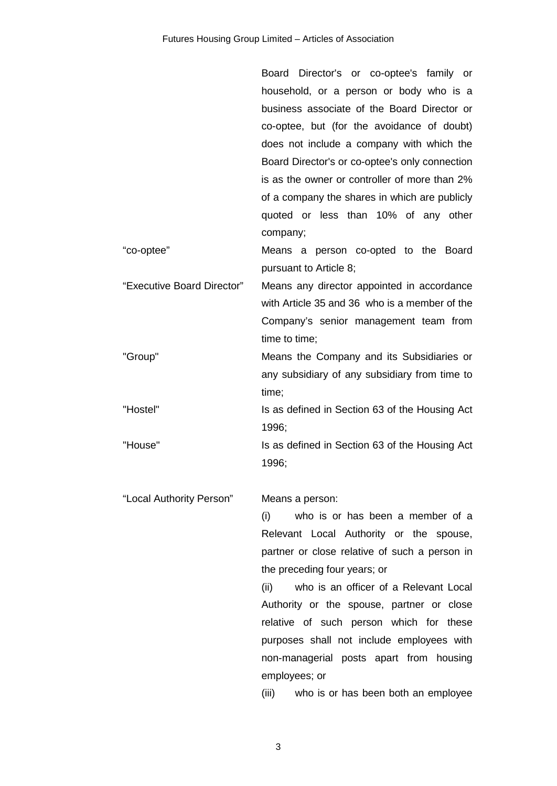|                            | Board Director's or co-optee's family or       |
|----------------------------|------------------------------------------------|
|                            | household, or a person or body who is a        |
|                            | business associate of the Board Director or    |
|                            | co-optee, but (for the avoidance of doubt)     |
|                            | does not include a company with which the      |
|                            | Board Director's or co-optee's only connection |
|                            | is as the owner or controller of more than 2%  |
|                            | of a company the shares in which are publicly  |
|                            | quoted or less than 10% of any other           |
|                            | company;                                       |
| "co-optee"                 | Means a person co-opted to the Board           |
|                            | pursuant to Article 8;                         |
| "Executive Board Director" | Means any director appointed in accordance     |
|                            | with Article 35 and 36 who is a member of the  |
|                            | Company's senior management team from          |
|                            | time to time;                                  |
| "Group"                    | Means the Company and its Subsidiaries or      |
|                            | any subsidiary of any subsidiary from time to  |
|                            | time;                                          |
| "Hostel"                   | Is as defined in Section 63 of the Housing Act |
|                            | 1996;                                          |
| "House"                    | Is as defined in Section 63 of the Housing Act |
|                            | 1996;                                          |
|                            |                                                |
| "Local Authority Person"   | Means a person:                                |
|                            | who is or has been a member of a<br>(i)        |
|                            | Relevant Local Authority or the spouse,        |
|                            | partner or close relative of such a person in  |
|                            | the preceding four years; or                   |
|                            | who is an officer of a Relevant Local<br>(ii)  |
|                            | Authority or the spouse, partner or close      |
|                            | relative of such person which for these        |
|                            | purposes shall not include employees with      |
|                            | non-managerial posts apart from housing        |
|                            | employees; or                                  |
|                            | who is or has been both an employee<br>(iii)   |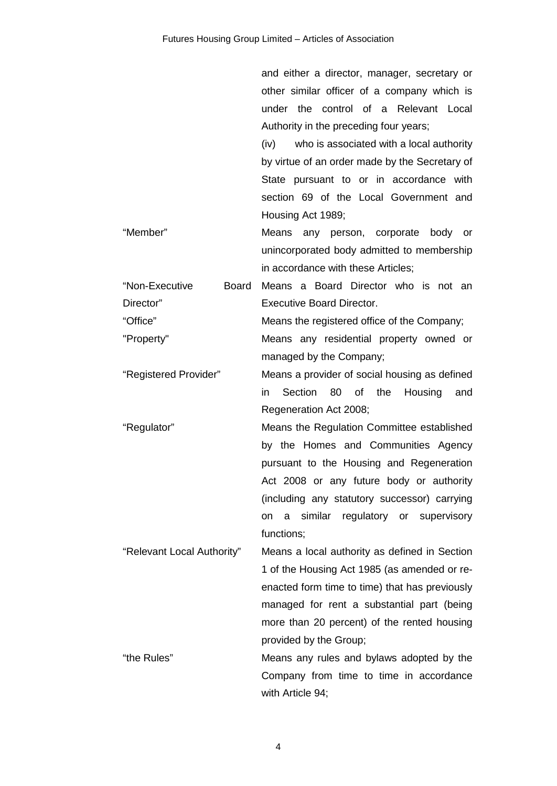and either a director, manager, secretary or other similar officer of a company which is under the control of a Relevant Local Authority in the preceding four years; (iv) who is associated with a local authority by virtue of an order made by the Secretary of State pursuant to or in accordance with section 69 of the Local Government and

"Member" Means any person, corporate body or unincorporated body admitted to membership in accordance with these Articles;

Housing Act 1989;

- "Non-Executive Board Director" Means a Board Director who is not an Executive Board Director. "Office" Means the registered office of the Company; "Property" Means any residential property owned or
- managed by the Company; "Registered Provider" Means a provider of social housing as defined
	- in Section 80 of the Housing and Regeneration Act 2008;
- "Regulator" Means the Regulation Committee established by the Homes and Communities Agency pursuant to the Housing and Regeneration Act 2008 or any future body or authority (including any statutory successor) carrying on a similar regulatory or supervisory functions;
- "Relevant Local Authority" Means a local authority as defined in Section 1 of the Housing Act 1985 (as amended or reenacted form time to time) that has previously managed for rent a substantial part (being more than 20 percent) of the rented housing provided by the Group; "the Rules" Means any rules and bylaws adopted by the
	- Company from time to time in accordance with Article 94;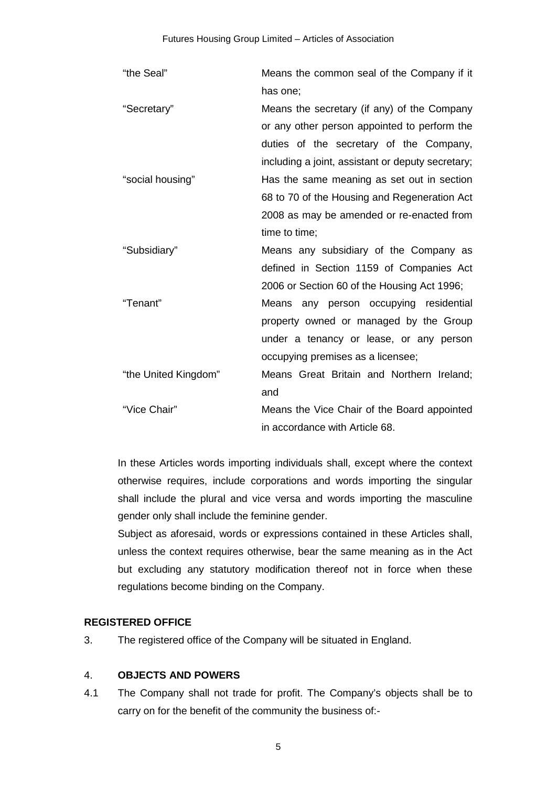| "the Seal"           | Means the common seal of the Company if it        |
|----------------------|---------------------------------------------------|
|                      | has one;                                          |
| "Secretary"          | Means the secretary (if any) of the Company       |
|                      | or any other person appointed to perform the      |
|                      | duties of the secretary of the Company,           |
|                      | including a joint, assistant or deputy secretary; |
| "social housing"     | Has the same meaning as set out in section        |
|                      | 68 to 70 of the Housing and Regeneration Act      |
|                      | 2008 as may be amended or re-enacted from         |
|                      | time to time;                                     |
| "Subsidiary"         | Means any subsidiary of the Company as            |
|                      | defined in Section 1159 of Companies Act          |
|                      | 2006 or Section 60 of the Housing Act 1996;       |
| "Tenant"             | Means any person occupying residential            |
|                      | property owned or managed by the Group            |
|                      | under a tenancy or lease, or any person           |
|                      | occupying premises as a licensee;                 |
| "the United Kingdom" | Means Great Britain and Northern Ireland;         |
|                      | and                                               |
| "Vice Chair"         | Means the Vice Chair of the Board appointed       |
|                      | in accordance with Article 68.                    |

In these Articles words importing individuals shall, except where the context otherwise requires, include corporations and words importing the singular shall include the plural and vice versa and words importing the masculine gender only shall include the feminine gender.

Subject as aforesaid, words or expressions contained in these Articles shall, unless the context requires otherwise, bear the same meaning as in the Act but excluding any statutory modification thereof not in force when these regulations become binding on the Company.

### **REGISTERED OFFICE**

3. The registered office of the Company will be situated in England.

## 4. **OBJECTS AND POWERS**

4.1 The Company shall not trade for profit. The Company's objects shall be to carry on for the benefit of the community the business of:-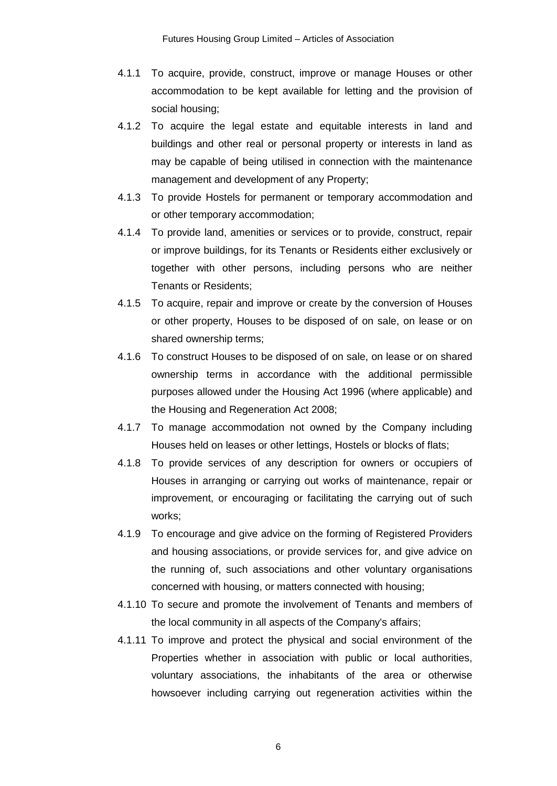- 4.1.1 To acquire, provide, construct, improve or manage Houses or other accommodation to be kept available for letting and the provision of social housing;
- 4.1.2 To acquire the legal estate and equitable interests in land and buildings and other real or personal property or interests in land as may be capable of being utilised in connection with the maintenance management and development of any Property;
- 4.1.3 To provide Hostels for permanent or temporary accommodation and or other temporary accommodation;
- 4.1.4 To provide land, amenities or services or to provide, construct, repair or improve buildings, for its Tenants or Residents either exclusively or together with other persons, including persons who are neither Tenants or Residents;
- 4.1.5 To acquire, repair and improve or create by the conversion of Houses or other property, Houses to be disposed of on sale, on lease or on shared ownership terms;
- 4.1.6 To construct Houses to be disposed of on sale, on lease or on shared ownership terms in accordance with the additional permissible purposes allowed under the Housing Act 1996 (where applicable) and the Housing and Regeneration Act 2008;
- 4.1.7 To manage accommodation not owned by the Company including Houses held on leases or other lettings, Hostels or blocks of flats;
- 4.1.8 To provide services of any description for owners or occupiers of Houses in arranging or carrying out works of maintenance, repair or improvement, or encouraging or facilitating the carrying out of such works;
- 4.1.9 To encourage and give advice on the forming of Registered Providers and housing associations, or provide services for, and give advice on the running of, such associations and other voluntary organisations concerned with housing, or matters connected with housing;
- 4.1.10 To secure and promote the involvement of Tenants and members of the local community in all aspects of the Company's affairs;
- 4.1.11 To improve and protect the physical and social environment of the Properties whether in association with public or local authorities, voluntary associations, the inhabitants of the area or otherwise howsoever including carrying out regeneration activities within the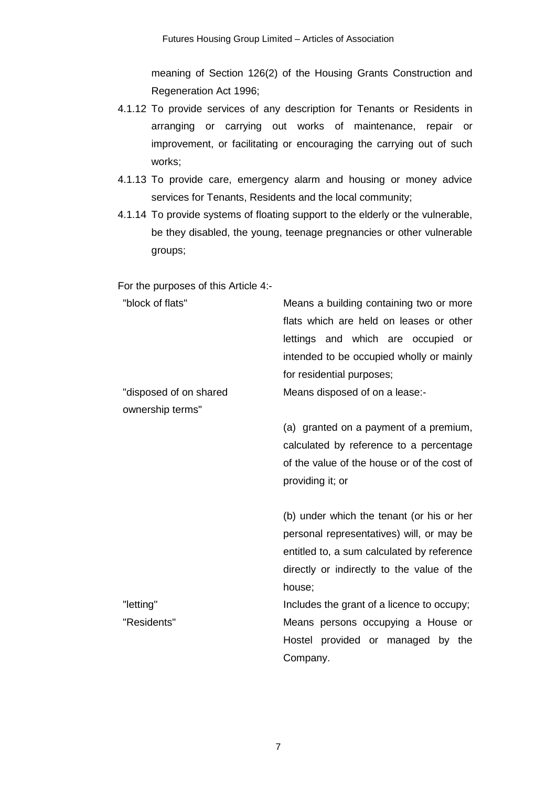meaning of Section 126(2) of the Housing Grants Construction and Regeneration Act 1996;

- 4.1.12 To provide services of any description for Tenants or Residents in arranging or carrying out works of maintenance, repair or improvement, or facilitating or encouraging the carrying out of such works;
- 4.1.13 To provide care, emergency alarm and housing or money advice services for Tenants, Residents and the local community;
- 4.1.14 To provide systems of floating support to the elderly or the vulnerable, be they disabled, the young, teenage pregnancies or other vulnerable groups;

For the purposes of this Article 4:-

| "block of flats"       | Means a building containing two or more     |
|------------------------|---------------------------------------------|
|                        | flats which are held on leases or other     |
|                        | lettings and which are occupied or          |
|                        | intended to be occupied wholly or mainly    |
|                        | for residential purposes;                   |
| "disposed of on shared | Means disposed of on a lease:-              |
| ownership terms"       |                                             |
|                        | (a) granted on a payment of a premium,      |
|                        | calculated by reference to a percentage     |
|                        | of the value of the house or of the cost of |
|                        | providing it; or                            |
|                        |                                             |
|                        | (b) under which the tenant (or his or her   |
|                        | personal representatives) will, or may be   |
|                        | entitled to, a sum calculated by reference  |
|                        | directly or indirectly to the value of the  |
|                        | house;                                      |
| "letting"              | Includes the grant of a licence to occupy;  |
| "Residents"            | Means persons occupying a House or          |
|                        | Hostel provided or managed by the           |
|                        | Company.                                    |
|                        |                                             |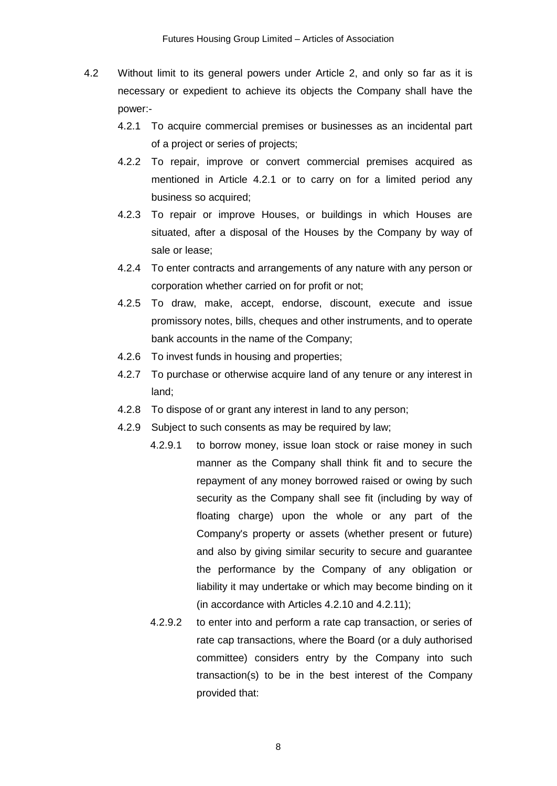- 4.2 Without limit to its general powers under Article 2, and only so far as it is necessary or expedient to achieve its objects the Company shall have the power:-
	- 4.2.1 To acquire commercial premises or businesses as an incidental part of a project or series of projects;
	- 4.2.2 To repair, improve or convert commercial premises acquired as mentioned in Article 4.2.1 or to carry on for a limited period any business so acquired;
	- 4.2.3 To repair or improve Houses, or buildings in which Houses are situated, after a disposal of the Houses by the Company by way of sale or lease;
	- 4.2.4 To enter contracts and arrangements of any nature with any person or corporation whether carried on for profit or not;
	- 4.2.5 To draw, make, accept, endorse, discount, execute and issue promissory notes, bills, cheques and other instruments, and to operate bank accounts in the name of the Company;
	- 4.2.6 To invest funds in housing and properties;
	- 4.2.7 To purchase or otherwise acquire land of any tenure or any interest in land;
	- 4.2.8 To dispose of or grant any interest in land to any person;
	- 4.2.9 Subject to such consents as may be required by law;
		- 4.2.9.1 to borrow money, issue loan stock or raise money in such manner as the Company shall think fit and to secure the repayment of any money borrowed raised or owing by such security as the Company shall see fit (including by way of floating charge) upon the whole or any part of the Company's property or assets (whether present or future) and also by giving similar security to secure and guarantee the performance by the Company of any obligation or liability it may undertake or which may become binding on it (in accordance with Articles 4.2.10 and 4.2.11);
		- 4.2.9.2 to enter into and perform a rate cap transaction, or series of rate cap transactions, where the Board (or a duly authorised committee) considers entry by the Company into such transaction(s) to be in the best interest of the Company provided that: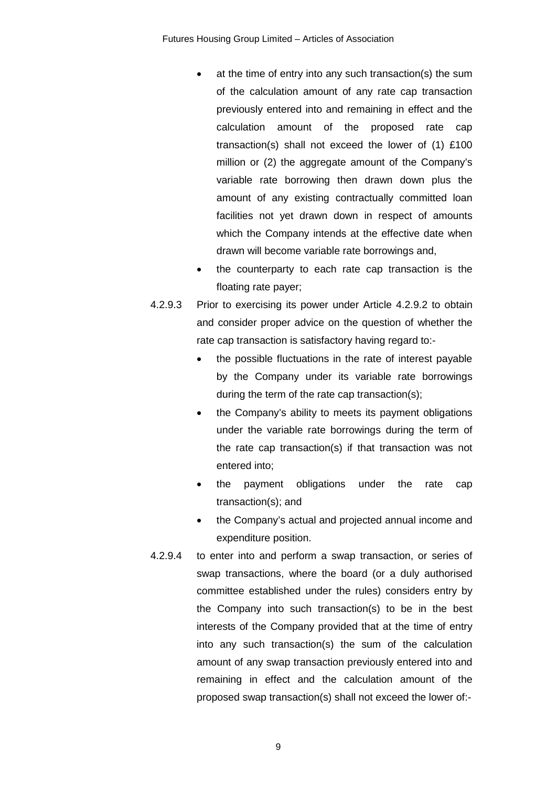- at the time of entry into any such transaction(s) the sum of the calculation amount of any rate cap transaction previously entered into and remaining in effect and the calculation amount of the proposed rate cap transaction(s) shall not exceed the lower of (1) £100 million or (2) the aggregate amount of the Company's variable rate borrowing then drawn down plus the amount of any existing contractually committed loan facilities not yet drawn down in respect of amounts which the Company intends at the effective date when drawn will become variable rate borrowings and,
- the counterparty to each rate cap transaction is the floating rate payer;
- 4.2.9.3 Prior to exercising its power under Article 4.2.9.2 to obtain and consider proper advice on the question of whether the rate cap transaction is satisfactory having regard to:-
	- the possible fluctuations in the rate of interest payable by the Company under its variable rate borrowings during the term of the rate cap transaction(s);
	- the Company's ability to meets its payment obligations under the variable rate borrowings during the term of the rate cap transaction(s) if that transaction was not entered into;
	- the payment obligations under the rate cap transaction(s); and
	- the Company's actual and projected annual income and expenditure position.
- 4.2.9.4 to enter into and perform a swap transaction, or series of swap transactions, where the board (or a duly authorised committee established under the rules) considers entry by the Company into such transaction(s) to be in the best interests of the Company provided that at the time of entry into any such transaction(s) the sum of the calculation amount of any swap transaction previously entered into and remaining in effect and the calculation amount of the proposed swap transaction(s) shall not exceed the lower of:-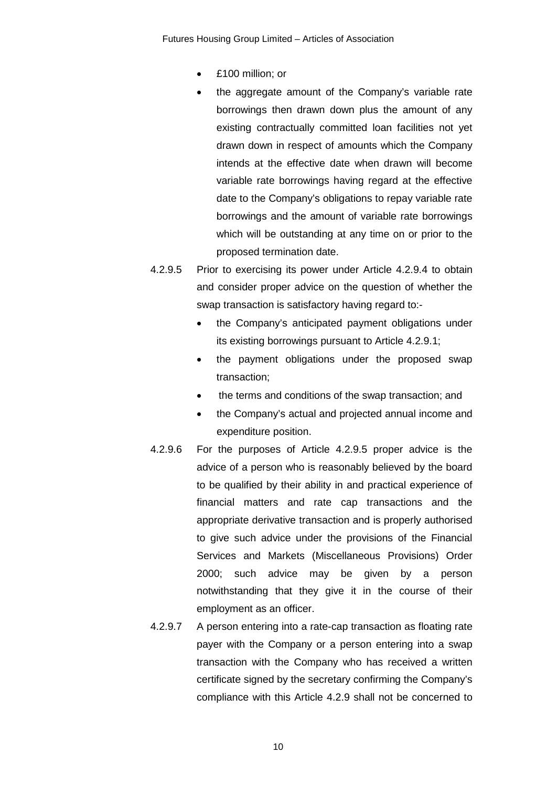Futures Housing Group Limited – Articles of Association

- £100 million; or
- the aggregate amount of the Company's variable rate borrowings then drawn down plus the amount of any existing contractually committed loan facilities not yet drawn down in respect of amounts which the Company intends at the effective date when drawn will become variable rate borrowings having regard at the effective date to the Company's obligations to repay variable rate borrowings and the amount of variable rate borrowings which will be outstanding at any time on or prior to the proposed termination date.
- 4.2.9.5 Prior to exercising its power under Article 4.2.9.4 to obtain and consider proper advice on the question of whether the swap transaction is satisfactory having regard to:-
	- the Company's anticipated payment obligations under its existing borrowings pursuant to Article 4.2.9.1;
	- the payment obligations under the proposed swap transaction;
	- the terms and conditions of the swap transaction; and
	- the Company's actual and projected annual income and expenditure position.
- 4.2.9.6 For the purposes of Article 4.2.9.5 proper advice is the advice of a person who is reasonably believed by the board to be qualified by their ability in and practical experience of financial matters and rate cap transactions and the appropriate derivative transaction and is properly authorised to give such advice under the provisions of the Financial Services and Markets (Miscellaneous Provisions) Order 2000; such advice may be given by a person notwithstanding that they give it in the course of their employment as an officer.
- 4.2.9.7 A person entering into a rate-cap transaction as floating rate payer with the Company or a person entering into a swap transaction with the Company who has received a written certificate signed by the secretary confirming the Company's compliance with this Article 4.2.9 shall not be concerned to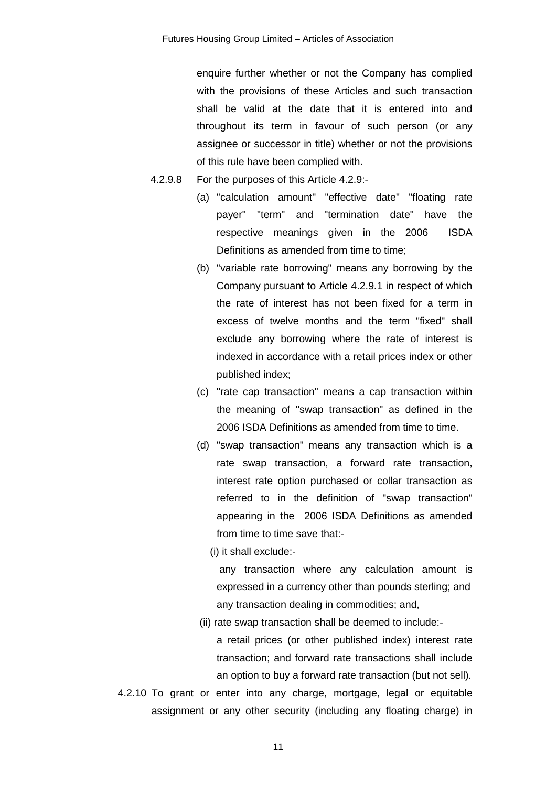enquire further whether or not the Company has complied with the provisions of these Articles and such transaction shall be valid at the date that it is entered into and throughout its term in favour of such person (or any assignee or successor in title) whether or not the provisions of this rule have been complied with.

- 4.2.9.8 For the purposes of this Article 4.2.9:-
	- (a) "calculation amount" "effective date" "floating rate payer" "term" and "termination date" have the respective meanings given in the 2006 ISDA Definitions as amended from time to time;
	- (b) "variable rate borrowing" means any borrowing by the Company pursuant to Article 4.2.9.1 in respect of which the rate of interest has not been fixed for a term in excess of twelve months and the term "fixed" shall exclude any borrowing where the rate of interest is indexed in accordance with a retail prices index or other published index;
	- (c) "rate cap transaction" means a cap transaction within the meaning of "swap transaction" as defined in the 2006 ISDA Definitions as amended from time to time.
	- (d) "swap transaction" means any transaction which is a rate swap transaction, a forward rate transaction, interest rate option purchased or collar transaction as referred to in the definition of "swap transaction" appearing in the 2006 ISDA Definitions as amended from time to time save that:-
		- (i) it shall exclude:-

any transaction where any calculation amount is expressed in a currency other than pounds sterling; and any transaction dealing in commodities; and,

(ii) rate swap transaction shall be deemed to include:-

a retail prices (or other published index) interest rate transaction; and forward rate transactions shall include an option to buy a forward rate transaction (but not sell).

4.2.10 To grant or enter into any charge, mortgage, legal or equitable assignment or any other security (including any floating charge) in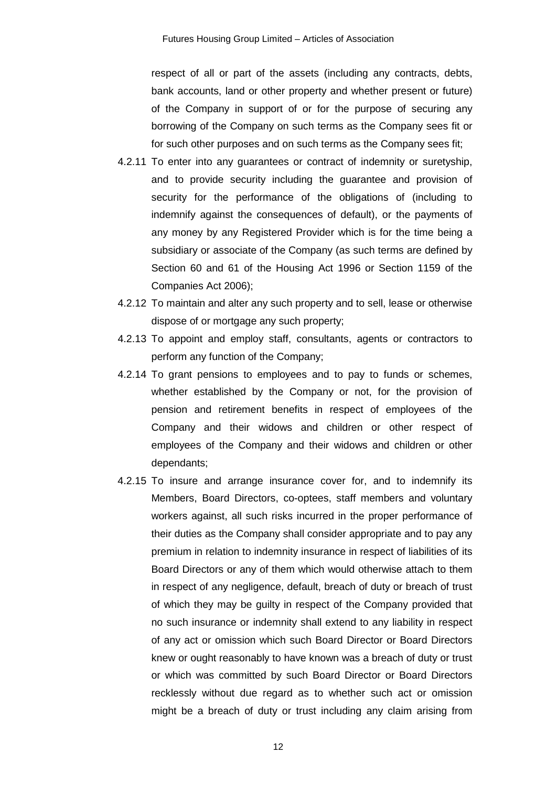respect of all or part of the assets (including any contracts, debts, bank accounts, land or other property and whether present or future) of the Company in support of or for the purpose of securing any borrowing of the Company on such terms as the Company sees fit or for such other purposes and on such terms as the Company sees fit;

- 4.2.11 To enter into any guarantees or contract of indemnity or suretyship, and to provide security including the guarantee and provision of security for the performance of the obligations of (including to indemnify against the consequences of default), or the payments of any money by any Registered Provider which is for the time being a subsidiary or associate of the Company (as such terms are defined by Section 60 and 61 of the Housing Act 1996 or Section 1159 of the Companies Act 2006);
- 4.2.12 To maintain and alter any such property and to sell, lease or otherwise dispose of or mortgage any such property;
- 4.2.13 To appoint and employ staff, consultants, agents or contractors to perform any function of the Company;
- 4.2.14 To grant pensions to employees and to pay to funds or schemes, whether established by the Company or not, for the provision of pension and retirement benefits in respect of employees of the Company and their widows and children or other respect of employees of the Company and their widows and children or other dependants;
- 4.2.15 To insure and arrange insurance cover for, and to indemnify its Members, Board Directors, co-optees, staff members and voluntary workers against, all such risks incurred in the proper performance of their duties as the Company shall consider appropriate and to pay any premium in relation to indemnity insurance in respect of liabilities of its Board Directors or any of them which would otherwise attach to them in respect of any negligence, default, breach of duty or breach of trust of which they may be guilty in respect of the Company provided that no such insurance or indemnity shall extend to any liability in respect of any act or omission which such Board Director or Board Directors knew or ought reasonably to have known was a breach of duty or trust or which was committed by such Board Director or Board Directors recklessly without due regard as to whether such act or omission might be a breach of duty or trust including any claim arising from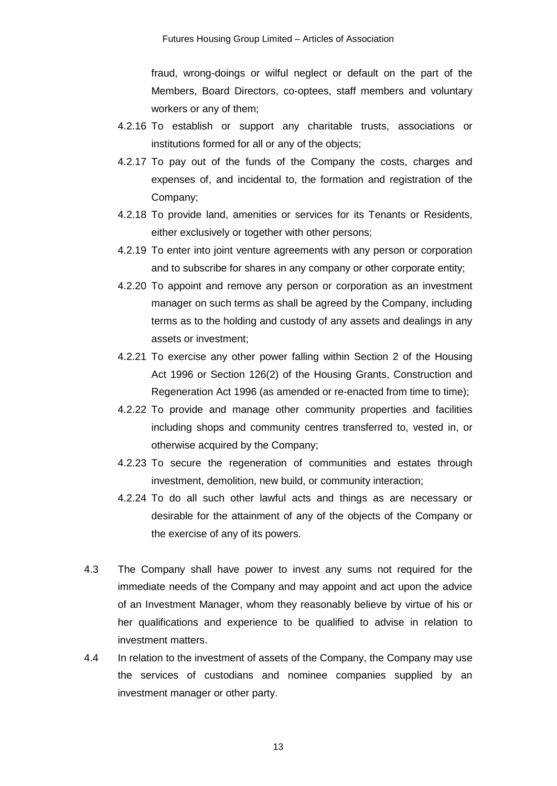fraud, wrong-doings or wilful neglect or default on the part of the Members, Board Directors, co-optees, staff members and voluntary workers or any of them;

- 4.2.16 To establish or support any charitable trusts, associations or institutions formed for all or any of the objects;
- 4.2.17 To pay out of the funds of the Company the costs, charges and expenses of, and incidental to, the formation and registration of the Company;
- 4.2.18 To provide land, amenities or services for its Tenants or Residents, either exclusively or together with other persons;
- 4.2.19 To enter into joint venture agreements with any person or corporation and to subscribe for shares in any company or other corporate entity;
- 4.2.20 To appoint and remove any person or corporation as an investment manager on such terms as shall be agreed by the Company, including terms as to the holding and custody of any assets and dealings in any assets or investment;
- 4.2.21 To exercise any other power falling within Section 2 of the Housing Act 1996 or Section 126(2) of the Housing Grants, Construction and Regeneration Act 1996 (as amended or re-enacted from time to time);
- 4.2.22 To provide and manage other community properties and facilities including shops and community centres transferred to, vested in, or otherwise acquired by the Company;
- 4.2.23 To secure the regeneration of communities and estates through investment, demolition, new build, or community interaction;
- 4.2.24 To do all such other lawful acts and things as are necessary or desirable for the attainment of any of the objects of the Company or the exercise of any of its powers.
- 4.3 The Company shall have power to invest any sums not required for the immediate needs of the Company and may appoint and act upon the advice of an Investment Manager, whom they reasonably believe by virtue of his or her qualifications and experience to be qualified to advise in relation to investment matters.
- 4.4 In relation to the investment of assets of the Company, the Company may use the services of custodians and nominee companies supplied by an investment manager or other party.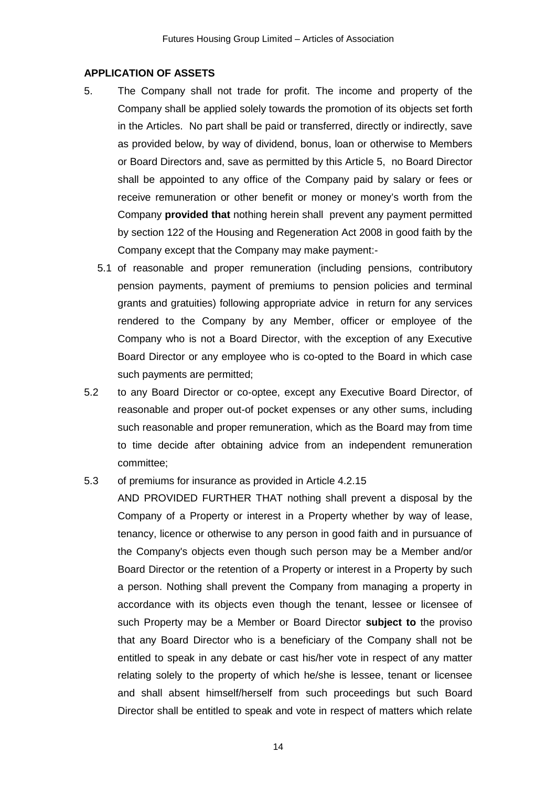#### **APPLICATION OF ASSETS**

- 5. The Company shall not trade for profit. The income and property of the Company shall be applied solely towards the promotion of its objects set forth in the Articles. No part shall be paid or transferred, directly or indirectly, save as provided below, by way of dividend, bonus, loan or otherwise to Members or Board Directors and, save as permitted by this Article 5, no Board Director shall be appointed to any office of the Company paid by salary or fees or receive remuneration or other benefit or money or money's worth from the Company **provided that** nothing herein shall prevent any payment permitted by section 122 of the Housing and Regeneration Act 2008 in good faith by the Company except that the Company may make payment:-
	- 5.1 of reasonable and proper remuneration (including pensions, contributory pension payments, payment of premiums to pension policies and terminal grants and gratuities) following appropriate advice in return for any services rendered to the Company by any Member, officer or employee of the Company who is not a Board Director, with the exception of any Executive Board Director or any employee who is co-opted to the Board in which case such payments are permitted;
- 5.2 to any Board Director or co-optee, except any Executive Board Director, of reasonable and proper out-of pocket expenses or any other sums, including such reasonable and proper remuneration, which as the Board may from time to time decide after obtaining advice from an independent remuneration committee;

#### 5.3 of premiums for insurance as provided in Article 4.2.15

AND PROVIDED FURTHER THAT nothing shall prevent a disposal by the Company of a Property or interest in a Property whether by way of lease, tenancy, licence or otherwise to any person in good faith and in pursuance of the Company's objects even though such person may be a Member and/or Board Director or the retention of a Property or interest in a Property by such a person. Nothing shall prevent the Company from managing a property in accordance with its objects even though the tenant, lessee or licensee of such Property may be a Member or Board Director **subject to** the proviso that any Board Director who is a beneficiary of the Company shall not be entitled to speak in any debate or cast his/her vote in respect of any matter relating solely to the property of which he/she is lessee, tenant or licensee and shall absent himself/herself from such proceedings but such Board Director shall be entitled to speak and vote in respect of matters which relate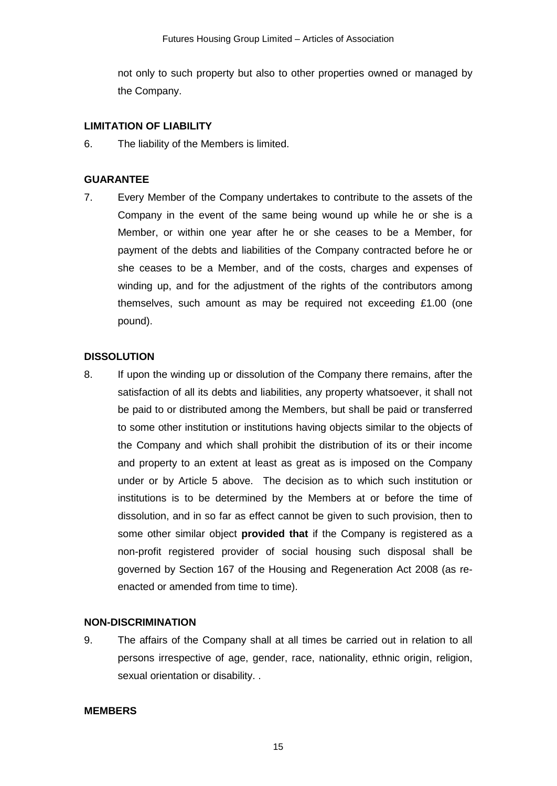not only to such property but also to other properties owned or managed by the Company.

#### **LIMITATION OF LIABILITY**

6. The liability of the Members is limited.

#### **GUARANTEE**

7. Every Member of the Company undertakes to contribute to the assets of the Company in the event of the same being wound up while he or she is a Member, or within one year after he or she ceases to be a Member, for payment of the debts and liabilities of the Company contracted before he or she ceases to be a Member, and of the costs, charges and expenses of winding up, and for the adjustment of the rights of the contributors among themselves, such amount as may be required not exceeding £1.00 (one pound).

#### **DISSOLUTION**

8. If upon the winding up or dissolution of the Company there remains, after the satisfaction of all its debts and liabilities, any property whatsoever, it shall not be paid to or distributed among the Members, but shall be paid or transferred to some other institution or institutions having objects similar to the objects of the Company and which shall prohibit the distribution of its or their income and property to an extent at least as great as is imposed on the Company under or by Article 5 above. The decision as to which such institution or institutions is to be determined by the Members at or before the time of dissolution, and in so far as effect cannot be given to such provision, then to some other similar object **provided that** if the Company is registered as a non-profit registered provider of social housing such disposal shall be governed by Section 167 of the Housing and Regeneration Act 2008 (as reenacted or amended from time to time).

#### **NON-DISCRIMINATION**

9. The affairs of the Company shall at all times be carried out in relation to all persons irrespective of age, gender, race, nationality, ethnic origin, religion, sexual orientation or disability. .

#### **MEMBERS**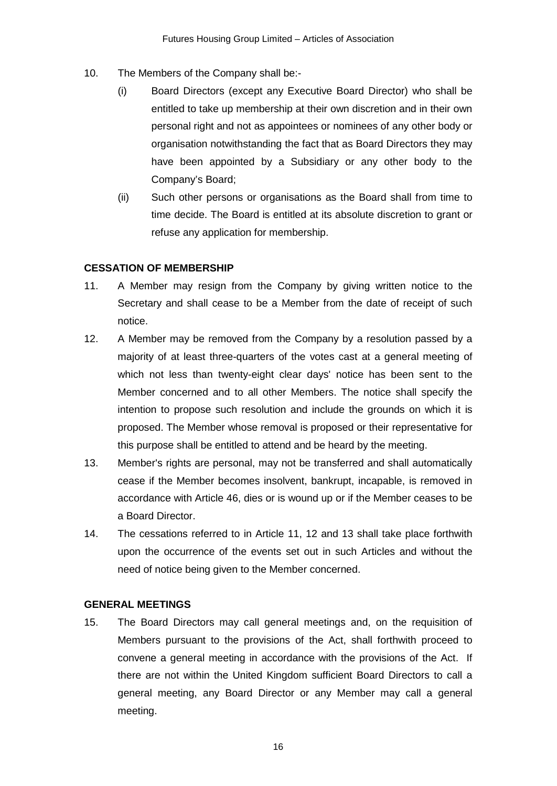- 10. The Members of the Company shall be:-
	- (i) Board Directors (except any Executive Board Director) who shall be entitled to take up membership at their own discretion and in their own personal right and not as appointees or nominees of any other body or organisation notwithstanding the fact that as Board Directors they may have been appointed by a Subsidiary or any other body to the Company's Board;
	- (ii) Such other persons or organisations as the Board shall from time to time decide. The Board is entitled at its absolute discretion to grant or refuse any application for membership.

## **CESSATION OF MEMBERSHIP**

- 11. A Member may resign from the Company by giving written notice to the Secretary and shall cease to be a Member from the date of receipt of such notice.
- 12. A Member may be removed from the Company by a resolution passed by a majority of at least three-quarters of the votes cast at a general meeting of which not less than twenty-eight clear days' notice has been sent to the Member concerned and to all other Members. The notice shall specify the intention to propose such resolution and include the grounds on which it is proposed. The Member whose removal is proposed or their representative for this purpose shall be entitled to attend and be heard by the meeting.
- 13. Member's rights are personal, may not be transferred and shall automatically cease if the Member becomes insolvent, bankrupt, incapable, is removed in accordance with Article 46, dies or is wound up or if the Member ceases to be a Board Director.
- 14. The cessations referred to in Article 11, 12 and 13 shall take place forthwith upon the occurrence of the events set out in such Articles and without the need of notice being given to the Member concerned.

### **GENERAL MEETINGS**

15. The Board Directors may call general meetings and, on the requisition of Members pursuant to the provisions of the Act, shall forthwith proceed to convene a general meeting in accordance with the provisions of the Act. If there are not within the United Kingdom sufficient Board Directors to call a general meeting, any Board Director or any Member may call a general meeting.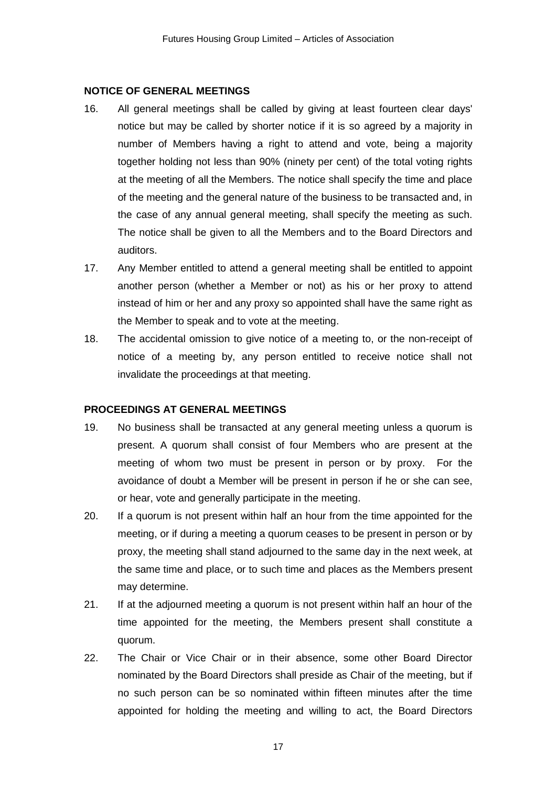#### **NOTICE OF GENERAL MEETINGS**

- 16. All general meetings shall be called by giving at least fourteen clear days' notice but may be called by shorter notice if it is so agreed by a majority in number of Members having a right to attend and vote, being a majority together holding not less than 90% (ninety per cent) of the total voting rights at the meeting of all the Members. The notice shall specify the time and place of the meeting and the general nature of the business to be transacted and, in the case of any annual general meeting, shall specify the meeting as such. The notice shall be given to all the Members and to the Board Directors and auditors.
- 17. Any Member entitled to attend a general meeting shall be entitled to appoint another person (whether a Member or not) as his or her proxy to attend instead of him or her and any proxy so appointed shall have the same right as the Member to speak and to vote at the meeting.
- 18. The accidental omission to give notice of a meeting to, or the non-receipt of notice of a meeting by, any person entitled to receive notice shall not invalidate the proceedings at that meeting.

#### **PROCEEDINGS AT GENERAL MEETINGS**

- 19. No business shall be transacted at any general meeting unless a quorum is present. A quorum shall consist of four Members who are present at the meeting of whom two must be present in person or by proxy. For the avoidance of doubt a Member will be present in person if he or she can see, or hear, vote and generally participate in the meeting.
- 20. If a quorum is not present within half an hour from the time appointed for the meeting, or if during a meeting a quorum ceases to be present in person or by proxy, the meeting shall stand adjourned to the same day in the next week, at the same time and place, or to such time and places as the Members present may determine.
- 21. If at the adjourned meeting a quorum is not present within half an hour of the time appointed for the meeting, the Members present shall constitute a quorum.
- 22. The Chair or Vice Chair or in their absence, some other Board Director nominated by the Board Directors shall preside as Chair of the meeting, but if no such person can be so nominated within fifteen minutes after the time appointed for holding the meeting and willing to act, the Board Directors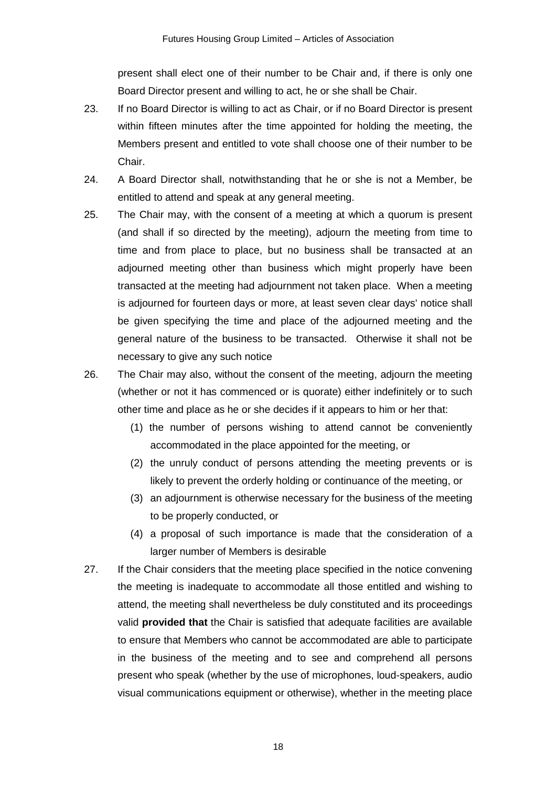present shall elect one of their number to be Chair and, if there is only one Board Director present and willing to act, he or she shall be Chair.

- 23. If no Board Director is willing to act as Chair, or if no Board Director is present within fifteen minutes after the time appointed for holding the meeting, the Members present and entitled to vote shall choose one of their number to be Chair.
- 24. A Board Director shall, notwithstanding that he or she is not a Member, be entitled to attend and speak at any general meeting.
- 25. The Chair may, with the consent of a meeting at which a quorum is present (and shall if so directed by the meeting), adjourn the meeting from time to time and from place to place, but no business shall be transacted at an adjourned meeting other than business which might properly have been transacted at the meeting had adjournment not taken place. When a meeting is adjourned for fourteen days or more, at least seven clear days' notice shall be given specifying the time and place of the adjourned meeting and the general nature of the business to be transacted. Otherwise it shall not be necessary to give any such notice
- 26. The Chair may also, without the consent of the meeting, adjourn the meeting (whether or not it has commenced or is quorate) either indefinitely or to such other time and place as he or she decides if it appears to him or her that:
	- (1) the number of persons wishing to attend cannot be conveniently accommodated in the place appointed for the meeting, or
	- (2) the unruly conduct of persons attending the meeting prevents or is likely to prevent the orderly holding or continuance of the meeting, or
	- (3) an adjournment is otherwise necessary for the business of the meeting to be properly conducted, or
	- (4) a proposal of such importance is made that the consideration of a larger number of Members is desirable
- 27. If the Chair considers that the meeting place specified in the notice convening the meeting is inadequate to accommodate all those entitled and wishing to attend, the meeting shall nevertheless be duly constituted and its proceedings valid **provided that** the Chair is satisfied that adequate facilities are available to ensure that Members who cannot be accommodated are able to participate in the business of the meeting and to see and comprehend all persons present who speak (whether by the use of microphones, loud-speakers, audio visual communications equipment or otherwise), whether in the meeting place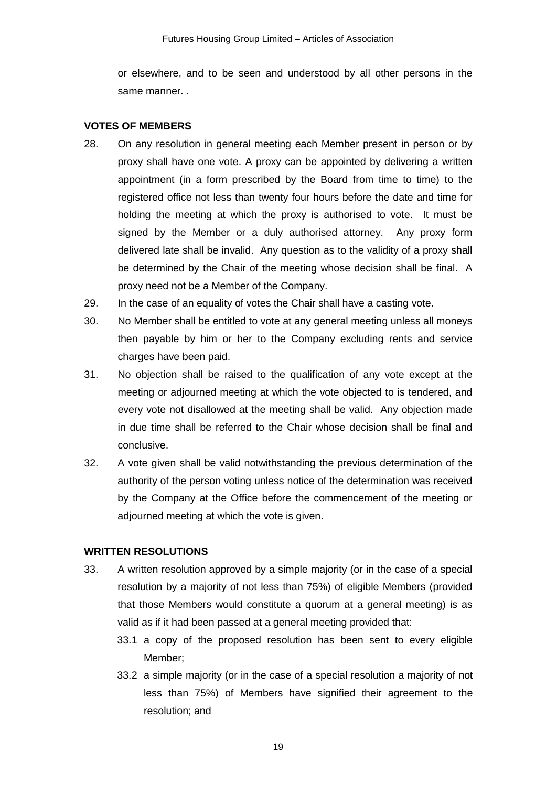or elsewhere, and to be seen and understood by all other persons in the same manner. .

#### **VOTES OF MEMBERS**

- 28. On any resolution in general meeting each Member present in person or by proxy shall have one vote. A proxy can be appointed by delivering a written appointment (in a form prescribed by the Board from time to time) to the registered office not less than twenty four hours before the date and time for holding the meeting at which the proxy is authorised to vote. It must be signed by the Member or a duly authorised attorney. Any proxy form delivered late shall be invalid. Any question as to the validity of a proxy shall be determined by the Chair of the meeting whose decision shall be final. A proxy need not be a Member of the Company.
- 29. In the case of an equality of votes the Chair shall have a casting vote.
- 30. No Member shall be entitled to vote at any general meeting unless all moneys then payable by him or her to the Company excluding rents and service charges have been paid.
- 31. No objection shall be raised to the qualification of any vote except at the meeting or adjourned meeting at which the vote objected to is tendered, and every vote not disallowed at the meeting shall be valid. Any objection made in due time shall be referred to the Chair whose decision shall be final and conclusive.
- 32. A vote given shall be valid notwithstanding the previous determination of the authority of the person voting unless notice of the determination was received by the Company at the Office before the commencement of the meeting or adjourned meeting at which the vote is given.

#### **WRITTEN RESOLUTIONS**

- 33. A written resolution approved by a simple majority (or in the case of a special resolution by a majority of not less than 75%) of eligible Members (provided that those Members would constitute a quorum at a general meeting) is as valid as if it had been passed at a general meeting provided that:
	- 33.1 a copy of the proposed resolution has been sent to every eligible Member;
	- 33.2 a simple majority (or in the case of a special resolution a majority of not less than 75%) of Members have signified their agreement to the resolution; and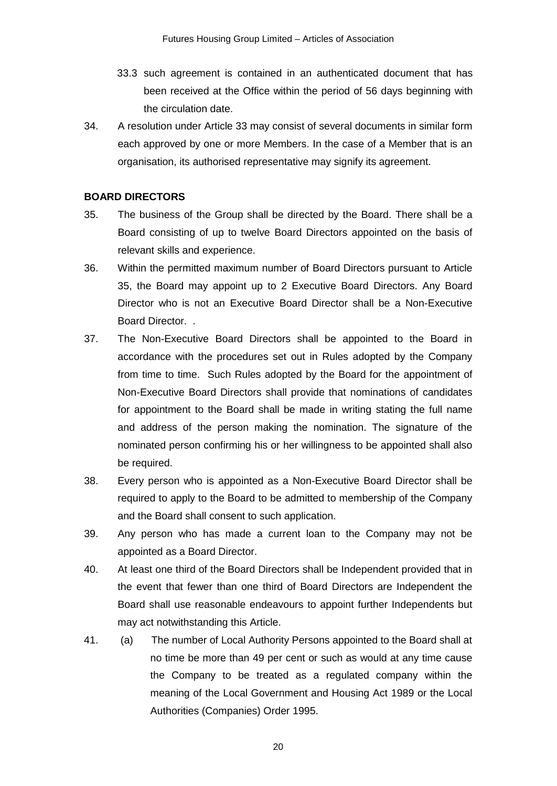- 33.3 such agreement is contained in an authenticated document that has been received at the Office within the period of 56 days beginning with the circulation date.
- 34. A resolution under Article 33 may consist of several documents in similar form each approved by one or more Members. In the case of a Member that is an organisation, its authorised representative may signify its agreement.

# **BOARD DIRECTORS**

- 35. The business of the Group shall be directed by the Board. There shall be a Board consisting of up to twelve Board Directors appointed on the basis of relevant skills and experience.
- 36. Within the permitted maximum number of Board Directors pursuant to Article 35, the Board may appoint up to 2 Executive Board Directors. Any Board Director who is not an Executive Board Director shall be a Non-Executive Board Director. .
- 37. The Non-Executive Board Directors shall be appointed to the Board in accordance with the procedures set out in Rules adopted by the Company from time to time. Such Rules adopted by the Board for the appointment of Non-Executive Board Directors shall provide that nominations of candidates for appointment to the Board shall be made in writing stating the full name and address of the person making the nomination. The signature of the nominated person confirming his or her willingness to be appointed shall also be required.
- 38. Every person who is appointed as a Non-Executive Board Director shall be required to apply to the Board to be admitted to membership of the Company and the Board shall consent to such application.
- 39. Any person who has made a current loan to the Company may not be appointed as a Board Director.
- 40. At least one third of the Board Directors shall be Independent provided that in the event that fewer than one third of Board Directors are Independent the Board shall use reasonable endeavours to appoint further Independents but may act notwithstanding this Article.
- 41. (a) The number of Local Authority Persons appointed to the Board shall at no time be more than 49 per cent or such as would at any time cause the Company to be treated as a regulated company within the meaning of the Local Government and Housing Act 1989 or the Local Authorities (Companies) Order 1995.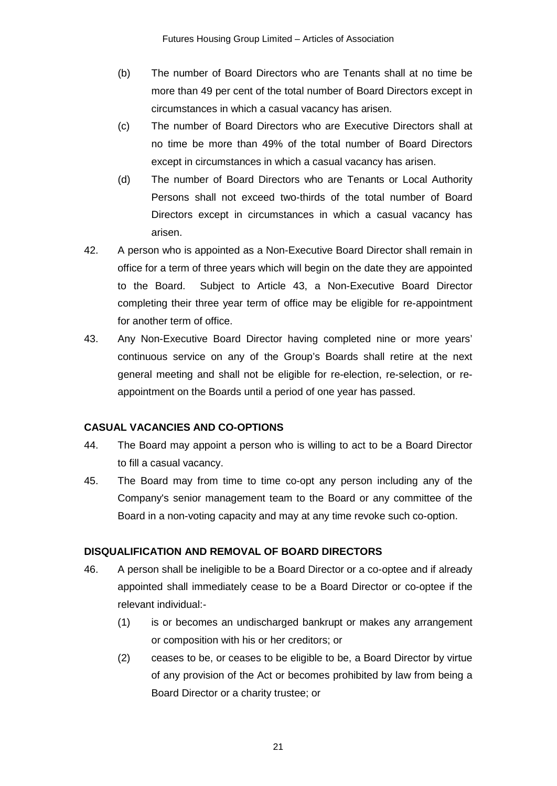- (b) The number of Board Directors who are Tenants shall at no time be more than 49 per cent of the total number of Board Directors except in circumstances in which a casual vacancy has arisen.
- (c) The number of Board Directors who are Executive Directors shall at no time be more than 49% of the total number of Board Directors except in circumstances in which a casual vacancy has arisen.
- (d) The number of Board Directors who are Tenants or Local Authority Persons shall not exceed two-thirds of the total number of Board Directors except in circumstances in which a casual vacancy has arisen.
- 42. A person who is appointed as a Non-Executive Board Director shall remain in office for a term of three years which will begin on the date they are appointed to the Board. Subject to Article 43, a Non-Executive Board Director completing their three year term of office may be eligible for re-appointment for another term of office.
- 43. Any Non-Executive Board Director having completed nine or more years' continuous service on any of the Group's Boards shall retire at the next general meeting and shall not be eligible for re-election, re-selection, or reappointment on the Boards until a period of one year has passed.

### **CASUAL VACANCIES AND CO-OPTIONS**

- 44. The Board may appoint a person who is willing to act to be a Board Director to fill a casual vacancy.
- 45. The Board may from time to time co-opt any person including any of the Company's senior management team to the Board or any committee of the Board in a non-voting capacity and may at any time revoke such co-option.

### **DISQUALIFICATION AND REMOVAL OF BOARD DIRECTORS**

- 46. A person shall be ineligible to be a Board Director or a co-optee and if already appointed shall immediately cease to be a Board Director or co-optee if the relevant individual:-
	- (1) is or becomes an undischarged bankrupt or makes any arrangement or composition with his or her creditors; or
	- (2) ceases to be, or ceases to be eligible to be, a Board Director by virtue of any provision of the Act or becomes prohibited by law from being a Board Director or a charity trustee; or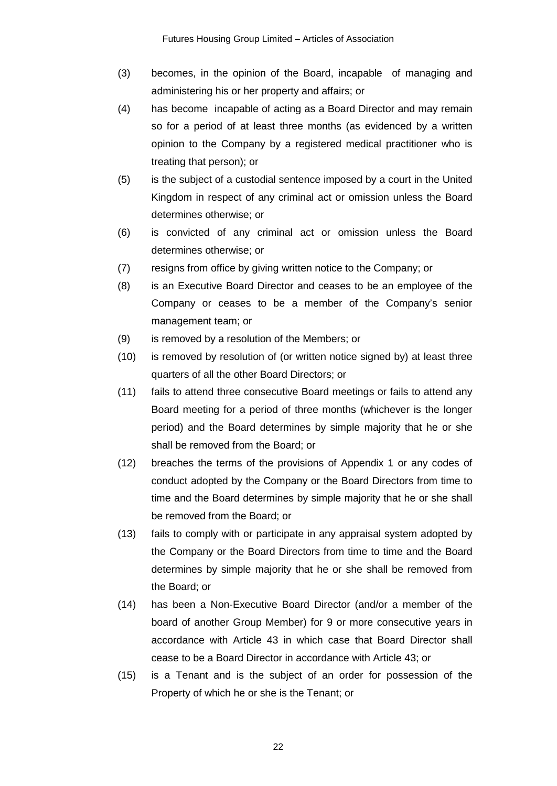- (3) becomes, in the opinion of the Board, incapable of managing and administering his or her property and affairs; or
- (4) has become incapable of acting as a Board Director and may remain so for a period of at least three months (as evidenced by a written opinion to the Company by a registered medical practitioner who is treating that person); or
- (5) is the subject of a custodial sentence imposed by a court in the United Kingdom in respect of any criminal act or omission unless the Board determines otherwise; or
- (6) is convicted of any criminal act or omission unless the Board determines otherwise; or
- (7) resigns from office by giving written notice to the Company; or
- (8) is an Executive Board Director and ceases to be an employee of the Company or ceases to be a member of the Company's senior management team; or
- (9) is removed by a resolution of the Members; or
- (10) is removed by resolution of (or written notice signed by) at least three quarters of all the other Board Directors; or
- (11) fails to attend three consecutive Board meetings or fails to attend any Board meeting for a period of three months (whichever is the longer period) and the Board determines by simple majority that he or she shall be removed from the Board; or
- (12) breaches the terms of the provisions of Appendix 1 or any codes of conduct adopted by the Company or the Board Directors from time to time and the Board determines by simple majority that he or she shall be removed from the Board; or
- (13) fails to comply with or participate in any appraisal system adopted by the Company or the Board Directors from time to time and the Board determines by simple majority that he or she shall be removed from the Board; or
- (14) has been a Non-Executive Board Director (and/or a member of the board of another Group Member) for 9 or more consecutive years in accordance with Article 43 in which case that Board Director shall cease to be a Board Director in accordance with Article 43; or
- (15) is a Tenant and is the subject of an order for possession of the Property of which he or she is the Tenant; or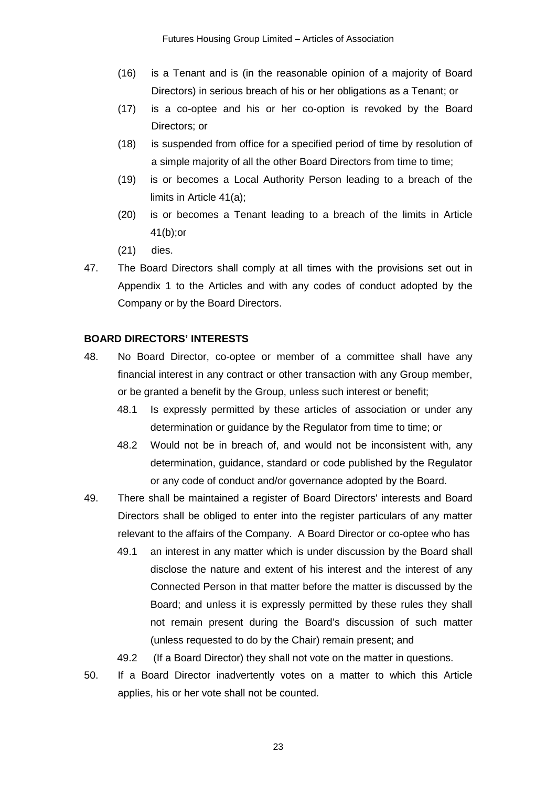- (16) is a Tenant and is (in the reasonable opinion of a majority of Board Directors) in serious breach of his or her obligations as a Tenant; or
- (17) is a co-optee and his or her co-option is revoked by the Board Directors; or
- (18) is suspended from office for a specified period of time by resolution of a simple majority of all the other Board Directors from time to time;
- (19) is or becomes a Local Authority Person leading to a breach of the limits in Article 41(a);
- (20) is or becomes a Tenant leading to a breach of the limits in Article 41(b);or
- (21) dies.
- 47. The Board Directors shall comply at all times with the provisions set out in Appendix 1 to the Articles and with any codes of conduct adopted by the Company or by the Board Directors.

## **BOARD DIRECTORS' INTERESTS**

- 48. No Board Director, co-optee or member of a committee shall have any financial interest in any contract or other transaction with any Group member, or be granted a benefit by the Group, unless such interest or benefit;
	- 48.1 Is expressly permitted by these articles of association or under any determination or guidance by the Regulator from time to time; or
	- 48.2 Would not be in breach of, and would not be inconsistent with, any determination, guidance, standard or code published by the Regulator or any code of conduct and/or governance adopted by the Board.
- 49. There shall be maintained a register of Board Directors' interests and Board Directors shall be obliged to enter into the register particulars of any matter relevant to the affairs of the Company. A Board Director or co-optee who has
	- 49.1 an interest in any matter which is under discussion by the Board shall disclose the nature and extent of his interest and the interest of any Connected Person in that matter before the matter is discussed by the Board; and unless it is expressly permitted by these rules they shall not remain present during the Board's discussion of such matter (unless requested to do by the Chair) remain present; and
	- 49.2 (If a Board Director) they shall not vote on the matter in questions.
- 50. If a Board Director inadvertently votes on a matter to which this Article applies, his or her vote shall not be counted.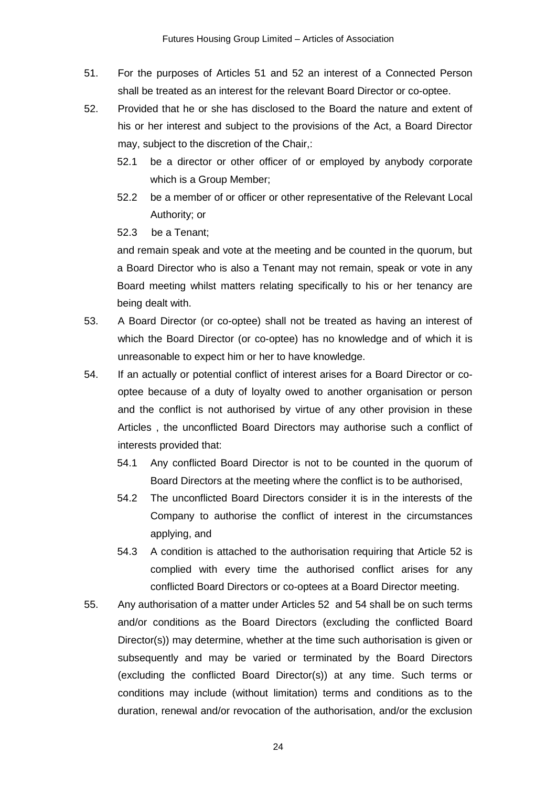- 51. For the purposes of Articles 51 and 52 an interest of a Connected Person shall be treated as an interest for the relevant Board Director or co-optee.
- 52. Provided that he or she has disclosed to the Board the nature and extent of his or her interest and subject to the provisions of the Act, a Board Director may, subject to the discretion of the Chair,:
	- 52.1 be a director or other officer of or employed by anybody corporate which is a Group Member;
	- 52.2 be a member of or officer or other representative of the Relevant Local Authority; or
	- 52.3 be a Tenant;

and remain speak and vote at the meeting and be counted in the quorum, but a Board Director who is also a Tenant may not remain, speak or vote in any Board meeting whilst matters relating specifically to his or her tenancy are being dealt with.

- 53. A Board Director (or co-optee) shall not be treated as having an interest of which the Board Director (or co-optee) has no knowledge and of which it is unreasonable to expect him or her to have knowledge.
- 54. If an actually or potential conflict of interest arises for a Board Director or cooptee because of a duty of loyalty owed to another organisation or person and the conflict is not authorised by virtue of any other provision in these Articles , the unconflicted Board Directors may authorise such a conflict of interests provided that:
	- 54.1 Any conflicted Board Director is not to be counted in the quorum of Board Directors at the meeting where the conflict is to be authorised,
	- 54.2 The unconflicted Board Directors consider it is in the interests of the Company to authorise the conflict of interest in the circumstances applying, and
	- 54.3 A condition is attached to the authorisation requiring that Article 52 is complied with every time the authorised conflict arises for any conflicted Board Directors or co-optees at a Board Director meeting.
- 55. Any authorisation of a matter under Articles 52 and 54 shall be on such terms and/or conditions as the Board Directors (excluding the conflicted Board Director(s)) may determine, whether at the time such authorisation is given or subsequently and may be varied or terminated by the Board Directors (excluding the conflicted Board Director(s)) at any time. Such terms or conditions may include (without limitation) terms and conditions as to the duration, renewal and/or revocation of the authorisation, and/or the exclusion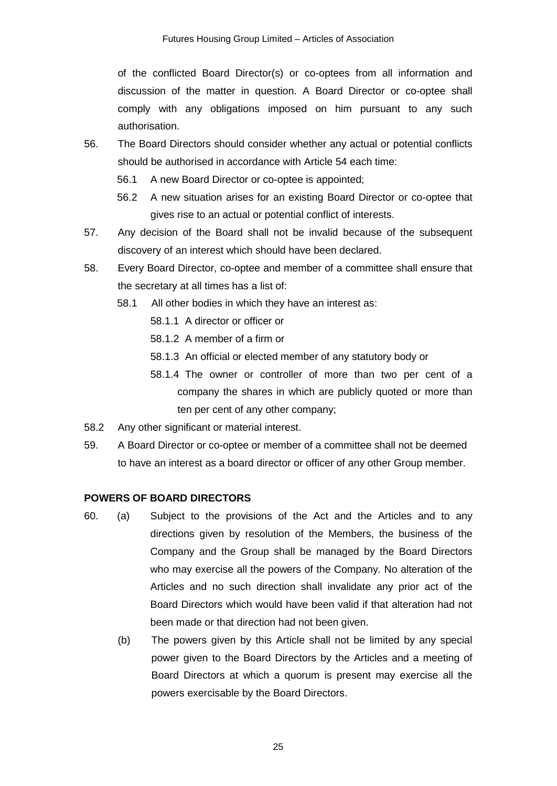of the conflicted Board Director(s) or co-optees from all information and discussion of the matter in question. A Board Director or co-optee shall comply with any obligations imposed on him pursuant to any such authorisation.

- 56. The Board Directors should consider whether any actual or potential conflicts should be authorised in accordance with Article 54 each time:
	- 56.1 A new Board Director or co-optee is appointed;
	- 56.2 A new situation arises for an existing Board Director or co-optee that gives rise to an actual or potential conflict of interests.
- 57. Any decision of the Board shall not be invalid because of the subsequent discovery of an interest which should have been declared.
- 58. Every Board Director, co-optee and member of a committee shall ensure that the secretary at all times has a list of:
	- 58.1 All other bodies in which they have an interest as:
		- 58.1.1 A director or officer or
		- 58.1.2 A member of a firm or
		- 58.1.3 An official or elected member of any statutory body or
		- 58.1.4 The owner or controller of more than two per cent of a company the shares in which are publicly quoted or more than ten per cent of any other company;
- 58.2 Any other significant or material interest.
- 59. A Board Director or co-optee or member of a committee shall not be deemed to have an interest as a board director or officer of any other Group member.

### **POWERS OF BOARD DIRECTORS**

- 60. (a) Subject to the provisions of the Act and the Articles and to any directions given by resolution of the Members, the business of the Company and the Group shall be managed by the Board Directors who may exercise all the powers of the Company. No alteration of the Articles and no such direction shall invalidate any prior act of the Board Directors which would have been valid if that alteration had not been made or that direction had not been given.
	- (b) The powers given by this Article shall not be limited by any special power given to the Board Directors by the Articles and a meeting of Board Directors at which a quorum is present may exercise all the powers exercisable by the Board Directors.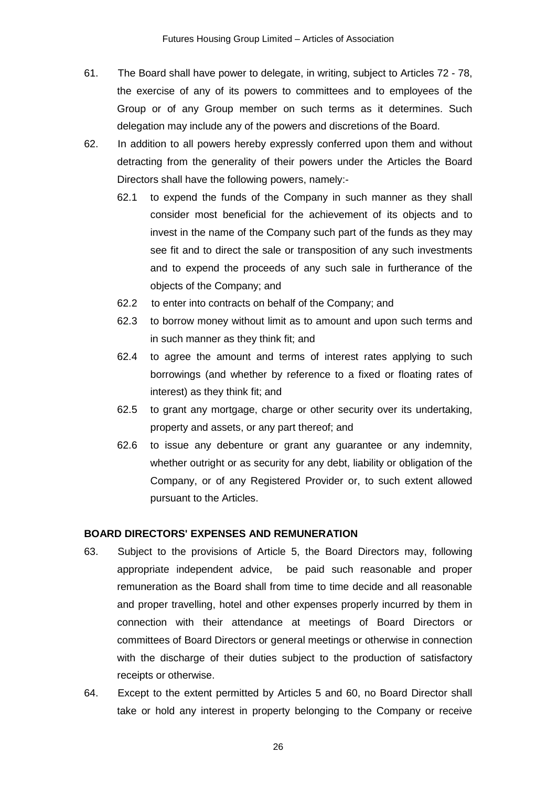- 61. The Board shall have power to delegate, in writing, subject to Articles 72 78, the exercise of any of its powers to committees and to employees of the Group or of any Group member on such terms as it determines. Such delegation may include any of the powers and discretions of the Board.
- 62. In addition to all powers hereby expressly conferred upon them and without detracting from the generality of their powers under the Articles the Board Directors shall have the following powers, namely:-
	- 62.1 to expend the funds of the Company in such manner as they shall consider most beneficial for the achievement of its objects and to invest in the name of the Company such part of the funds as they may see fit and to direct the sale or transposition of any such investments and to expend the proceeds of any such sale in furtherance of the objects of the Company; and
	- 62.2 to enter into contracts on behalf of the Company; and
	- 62.3 to borrow money without limit as to amount and upon such terms and in such manner as they think fit; and
	- 62.4 to agree the amount and terms of interest rates applying to such borrowings (and whether by reference to a fixed or floating rates of interest) as they think fit; and
	- 62.5 to grant any mortgage, charge or other security over its undertaking, property and assets, or any part thereof; and
	- 62.6 to issue any debenture or grant any guarantee or any indemnity, whether outright or as security for any debt, liability or obligation of the Company, or of any Registered Provider or, to such extent allowed pursuant to the Articles.

### **BOARD DIRECTORS' EXPENSES AND REMUNERATION**

- 63. Subject to the provisions of Article 5, the Board Directors may, following appropriate independent advice, be paid such reasonable and proper remuneration as the Board shall from time to time decide and all reasonable and proper travelling, hotel and other expenses properly incurred by them in connection with their attendance at meetings of Board Directors or committees of Board Directors or general meetings or otherwise in connection with the discharge of their duties subject to the production of satisfactory receipts or otherwise.
- 64. Except to the extent permitted by Articles 5 and 60, no Board Director shall take or hold any interest in property belonging to the Company or receive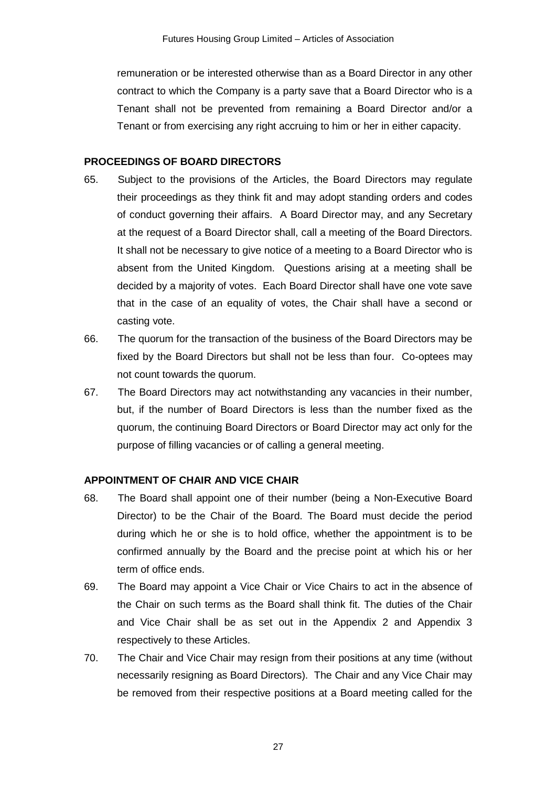remuneration or be interested otherwise than as a Board Director in any other contract to which the Company is a party save that a Board Director who is a Tenant shall not be prevented from remaining a Board Director and/or a Tenant or from exercising any right accruing to him or her in either capacity.

#### **PROCEEDINGS OF BOARD DIRECTORS**

- 65. Subject to the provisions of the Articles, the Board Directors may regulate their proceedings as they think fit and may adopt standing orders and codes of conduct governing their affairs. A Board Director may, and any Secretary at the request of a Board Director shall, call a meeting of the Board Directors. It shall not be necessary to give notice of a meeting to a Board Director who is absent from the United Kingdom. Questions arising at a meeting shall be decided by a majority of votes. Each Board Director shall have one vote save that in the case of an equality of votes, the Chair shall have a second or casting vote.
- 66. The quorum for the transaction of the business of the Board Directors may be fixed by the Board Directors but shall not be less than four. Co-optees may not count towards the quorum.
- 67. The Board Directors may act notwithstanding any vacancies in their number, but, if the number of Board Directors is less than the number fixed as the quorum, the continuing Board Directors or Board Director may act only for the purpose of filling vacancies or of calling a general meeting.

### **APPOINTMENT OF CHAIR AND VICE CHAIR**

- 68. The Board shall appoint one of their number (being a Non-Executive Board Director) to be the Chair of the Board. The Board must decide the period during which he or she is to hold office, whether the appointment is to be confirmed annually by the Board and the precise point at which his or her term of office ends.
- 69. The Board may appoint a Vice Chair or Vice Chairs to act in the absence of the Chair on such terms as the Board shall think fit. The duties of the Chair and Vice Chair shall be as set out in the Appendix 2 and Appendix 3 respectively to these Articles.
- 70. The Chair and Vice Chair may resign from their positions at any time (without necessarily resigning as Board Directors). The Chair and any Vice Chair may be removed from their respective positions at a Board meeting called for the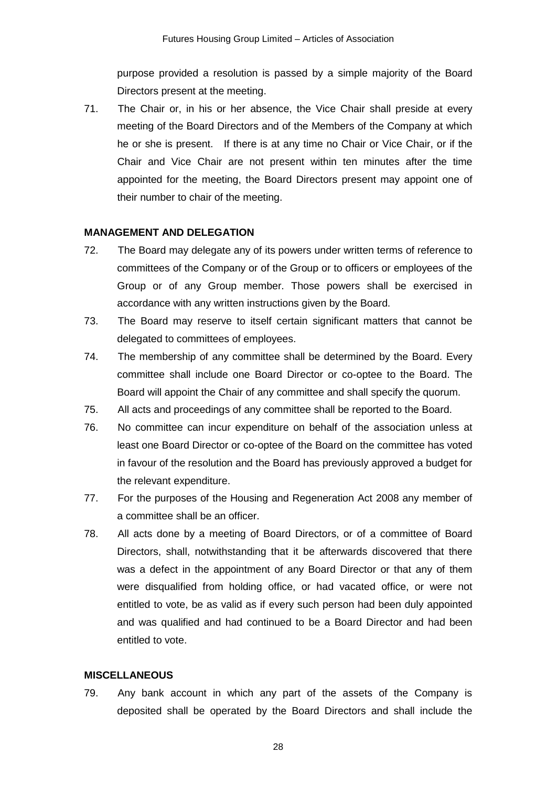purpose provided a resolution is passed by a simple majority of the Board Directors present at the meeting.

71. The Chair or, in his or her absence, the Vice Chair shall preside at every meeting of the Board Directors and of the Members of the Company at which he or she is present. If there is at any time no Chair or Vice Chair, or if the Chair and Vice Chair are not present within ten minutes after the time appointed for the meeting, the Board Directors present may appoint one of their number to chair of the meeting.

### **MANAGEMENT AND DELEGATION**

- 72. The Board may delegate any of its powers under written terms of reference to committees of the Company or of the Group or to officers or employees of the Group or of any Group member. Those powers shall be exercised in accordance with any written instructions given by the Board.
- 73. The Board may reserve to itself certain significant matters that cannot be delegated to committees of employees.
- 74. The membership of any committee shall be determined by the Board. Every committee shall include one Board Director or co-optee to the Board. The Board will appoint the Chair of any committee and shall specify the quorum.
- 75. All acts and proceedings of any committee shall be reported to the Board.
- 76. No committee can incur expenditure on behalf of the association unless at least one Board Director or co-optee of the Board on the committee has voted in favour of the resolution and the Board has previously approved a budget for the relevant expenditure.
- 77. For the purposes of the Housing and Regeneration Act 2008 any member of a committee shall be an officer.
- 78. All acts done by a meeting of Board Directors, or of a committee of Board Directors, shall, notwithstanding that it be afterwards discovered that there was a defect in the appointment of any Board Director or that any of them were disqualified from holding office, or had vacated office, or were not entitled to vote, be as valid as if every such person had been duly appointed and was qualified and had continued to be a Board Director and had been entitled to vote.

### **MISCELLANEOUS**

79. Any bank account in which any part of the assets of the Company is deposited shall be operated by the Board Directors and shall include the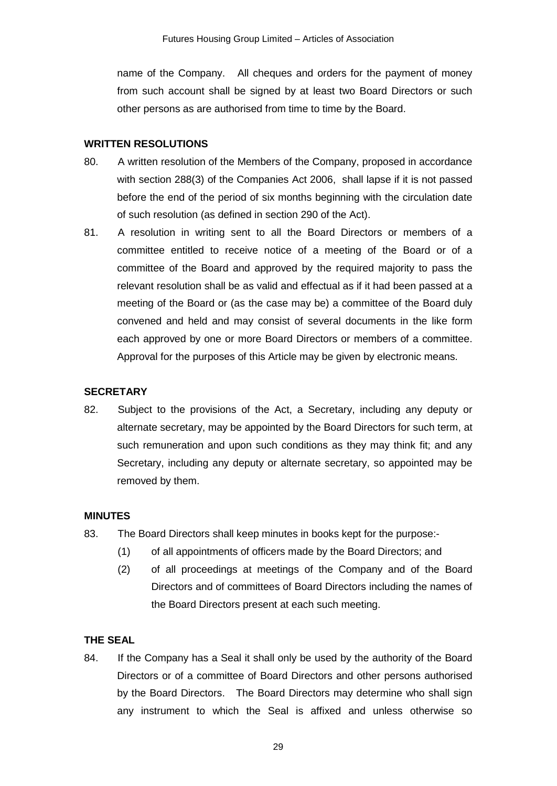name of the Company. All cheques and orders for the payment of money from such account shall be signed by at least two Board Directors or such other persons as are authorised from time to time by the Board.

## **WRITTEN RESOLUTIONS**

- 80. A written resolution of the Members of the Company, proposed in accordance with section 288(3) of the Companies Act 2006, shall lapse if it is not passed before the end of the period of six months beginning with the circulation date of such resolution (as defined in section 290 of the Act).
- 81. A resolution in writing sent to all the Board Directors or members of a committee entitled to receive notice of a meeting of the Board or of a committee of the Board and approved by the required majority to pass the relevant resolution shall be as valid and effectual as if it had been passed at a meeting of the Board or (as the case may be) a committee of the Board duly convened and held and may consist of several documents in the like form each approved by one or more Board Directors or members of a committee. Approval for the purposes of this Article may be given by electronic means.

# **SECRETARY**

82. Subject to the provisions of the Act, a Secretary, including any deputy or alternate secretary, may be appointed by the Board Directors for such term, at such remuneration and upon such conditions as they may think fit; and any Secretary, including any deputy or alternate secretary, so appointed may be removed by them.

### **MINUTES**

- 83. The Board Directors shall keep minutes in books kept for the purpose:-
	- (1) of all appointments of officers made by the Board Directors; and
	- (2) of all proceedings at meetings of the Company and of the Board Directors and of committees of Board Directors including the names of the Board Directors present at each such meeting.

# **THE SEAL**

84. If the Company has a Seal it shall only be used by the authority of the Board Directors or of a committee of Board Directors and other persons authorised by the Board Directors. The Board Directors may determine who shall sign any instrument to which the Seal is affixed and unless otherwise so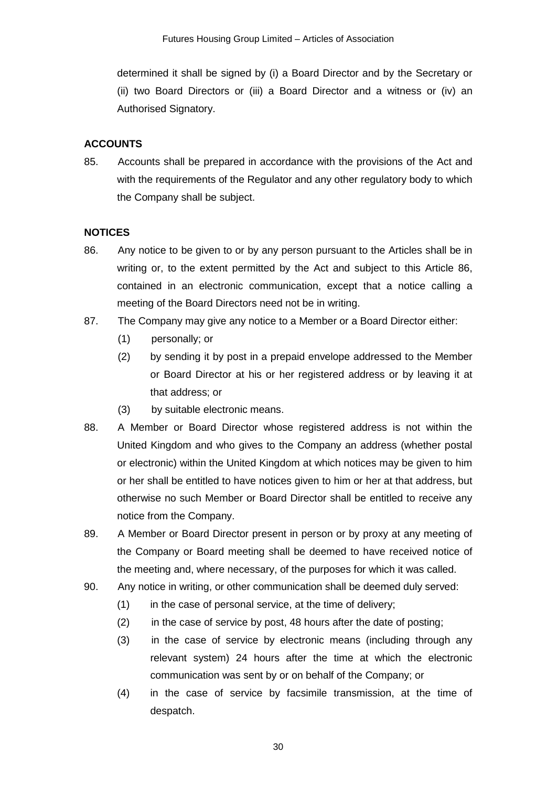determined it shall be signed by (i) a Board Director and by the Secretary or (ii) two Board Directors or (iii) a Board Director and a witness or (iv) an Authorised Signatory.

# **ACCOUNTS**

85. Accounts shall be prepared in accordance with the provisions of the Act and with the requirements of the Regulator and any other regulatory body to which the Company shall be subject.

# **NOTICES**

- 86. Any notice to be given to or by any person pursuant to the Articles shall be in writing or, to the extent permitted by the Act and subject to this Article 86, contained in an electronic communication, except that a notice calling a meeting of the Board Directors need not be in writing.
- 87. The Company may give any notice to a Member or a Board Director either:
	- (1) personally; or
	- (2) by sending it by post in a prepaid envelope addressed to the Member or Board Director at his or her registered address or by leaving it at that address; or
	- (3) by suitable electronic means.
- 88. A Member or Board Director whose registered address is not within the United Kingdom and who gives to the Company an address (whether postal or electronic) within the United Kingdom at which notices may be given to him or her shall be entitled to have notices given to him or her at that address, but otherwise no such Member or Board Director shall be entitled to receive any notice from the Company.
- 89. A Member or Board Director present in person or by proxy at any meeting of the Company or Board meeting shall be deemed to have received notice of the meeting and, where necessary, of the purposes for which it was called.
- 90. Any notice in writing, or other communication shall be deemed duly served:
	- (1) in the case of personal service, at the time of delivery;
	- (2) in the case of service by post, 48 hours after the date of posting;
	- (3) in the case of service by electronic means (including through any relevant system) 24 hours after the time at which the electronic communication was sent by or on behalf of the Company; or
	- (4) in the case of service by facsimile transmission, at the time of despatch.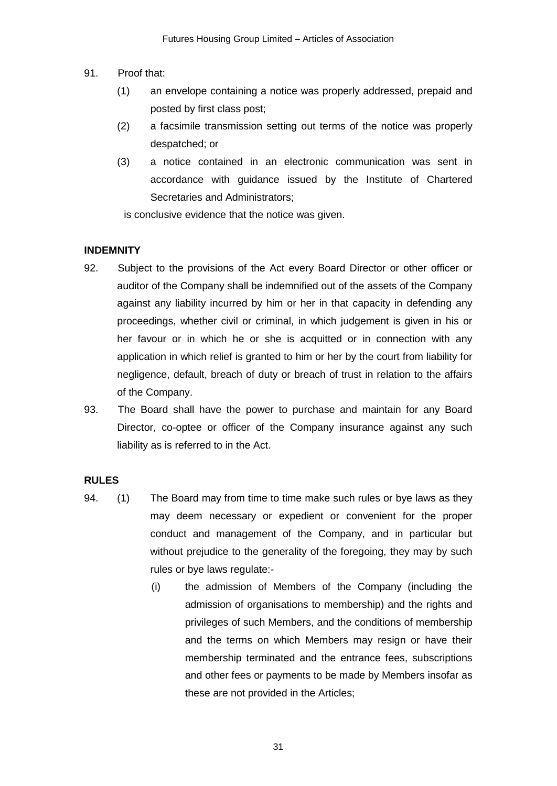- 91. Proof that:
	- (1) an envelope containing a notice was properly addressed, prepaid and posted by first class post;
	- (2) a facsimile transmission setting out terms of the notice was properly despatched; or
	- (3) a notice contained in an electronic communication was sent in accordance with guidance issued by the Institute of Chartered Secretaries and Administrators;

is conclusive evidence that the notice was given.

#### **INDEMNITY**

- 92. Subject to the provisions of the Act every Board Director or other officer or auditor of the Company shall be indemnified out of the assets of the Company against any liability incurred by him or her in that capacity in defending any proceedings, whether civil or criminal, in which judgement is given in his or her favour or in which he or she is acquitted or in connection with any application in which relief is granted to him or her by the court from liability for negligence, default, breach of duty or breach of trust in relation to the affairs of the Company.
- 93. The Board shall have the power to purchase and maintain for any Board Director, co-optee or officer of the Company insurance against any such liability as is referred to in the Act.

### **RULES**

- 94. (1) The Board may from time to time make such rules or bye laws as they may deem necessary or expedient or convenient for the proper conduct and management of the Company, and in particular but without prejudice to the generality of the foregoing, they may by such rules or bye laws regulate:-
	- (i) the admission of Members of the Company (including the admission of organisations to membership) and the rights and privileges of such Members, and the conditions of membership and the terms on which Members may resign or have their membership terminated and the entrance fees, subscriptions and other fees or payments to be made by Members insofar as these are not provided in the Articles;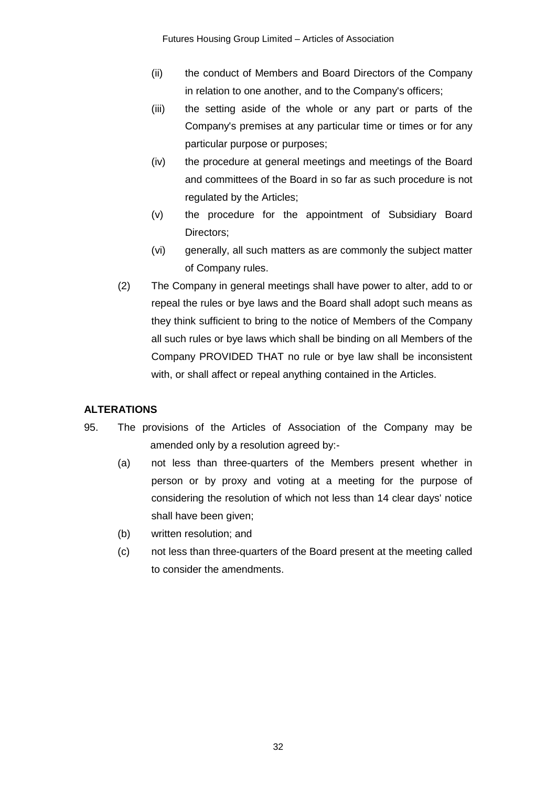- (ii) the conduct of Members and Board Directors of the Company in relation to one another, and to the Company's officers;
- (iii) the setting aside of the whole or any part or parts of the Company's premises at any particular time or times or for any particular purpose or purposes;
- (iv) the procedure at general meetings and meetings of the Board and committees of the Board in so far as such procedure is not regulated by the Articles;
- (v) the procedure for the appointment of Subsidiary Board Directors;
- (vi) generally, all such matters as are commonly the subject matter of Company rules.
- (2) The Company in general meetings shall have power to alter, add to or repeal the rules or bye laws and the Board shall adopt such means as they think sufficient to bring to the notice of Members of the Company all such rules or bye laws which shall be binding on all Members of the Company PROVIDED THAT no rule or bye law shall be inconsistent with, or shall affect or repeal anything contained in the Articles.

# **ALTERATIONS**

- 95. The provisions of the Articles of Association of the Company may be amended only by a resolution agreed by:-
	- (a) not less than three-quarters of the Members present whether in person or by proxy and voting at a meeting for the purpose of considering the resolution of which not less than 14 clear days' notice shall have been given;
	- (b) written resolution; and
	- (c) not less than three-quarters of the Board present at the meeting called to consider the amendments.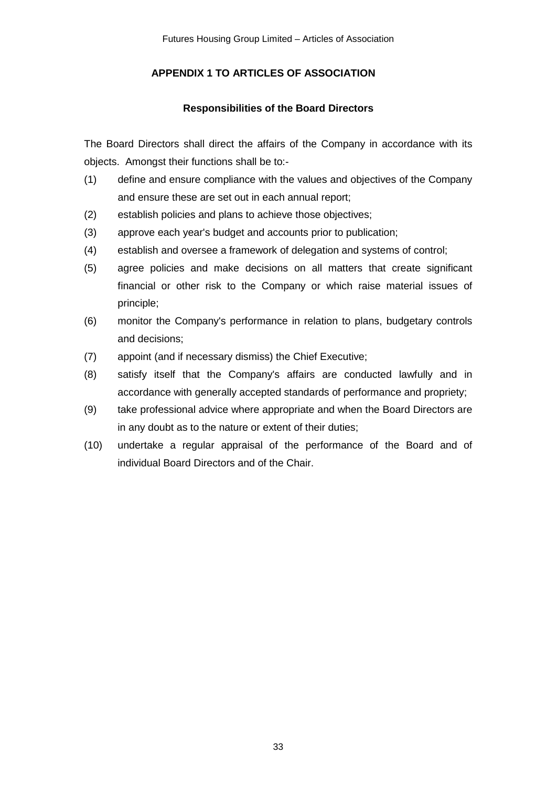# **APPENDIX 1 TO ARTICLES OF ASSOCIATION**

# **Responsibilities of the Board Directors**

The Board Directors shall direct the affairs of the Company in accordance with its objects. Amongst their functions shall be to:-

- (1) define and ensure compliance with the values and objectives of the Company and ensure these are set out in each annual report;
- (2) establish policies and plans to achieve those objectives;
- (3) approve each year's budget and accounts prior to publication;
- (4) establish and oversee a framework of delegation and systems of control;
- (5) agree policies and make decisions on all matters that create significant financial or other risk to the Company or which raise material issues of principle;
- (6) monitor the Company's performance in relation to plans, budgetary controls and decisions;
- (7) appoint (and if necessary dismiss) the Chief Executive;
- (8) satisfy itself that the Company's affairs are conducted lawfully and in accordance with generally accepted standards of performance and propriety;
- (9) take professional advice where appropriate and when the Board Directors are in any doubt as to the nature or extent of their duties;
- (10) undertake a regular appraisal of the performance of the Board and of individual Board Directors and of the Chair.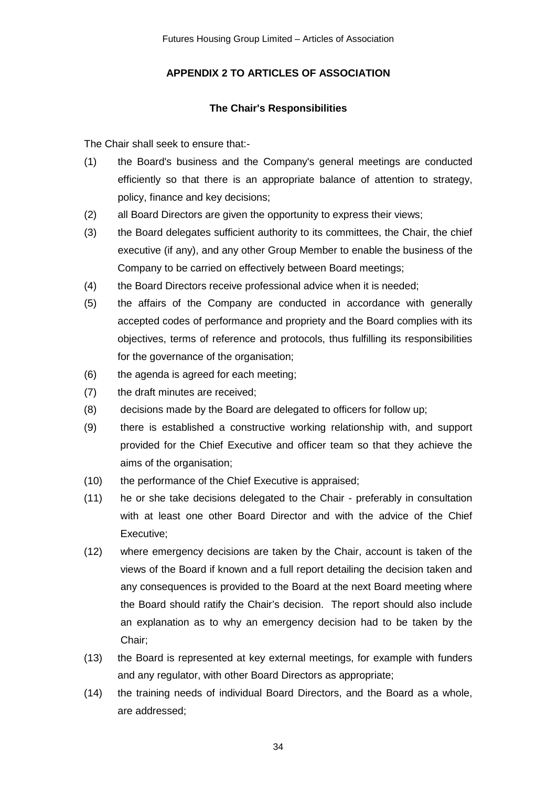# **APPENDIX 2 TO ARTICLES OF ASSOCIATION**

# **The Chair's Responsibilities**

The Chair shall seek to ensure that:-

- (1) the Board's business and the Company's general meetings are conducted efficiently so that there is an appropriate balance of attention to strategy, policy, finance and key decisions;
- (2) all Board Directors are given the opportunity to express their views;
- (3) the Board delegates sufficient authority to its committees, the Chair, the chief executive (if any), and any other Group Member to enable the business of the Company to be carried on effectively between Board meetings;
- (4) the Board Directors receive professional advice when it is needed;
- (5) the affairs of the Company are conducted in accordance with generally accepted codes of performance and propriety and the Board complies with its objectives, terms of reference and protocols, thus fulfilling its responsibilities for the governance of the organisation;
- (6) the agenda is agreed for each meeting;
- (7) the draft minutes are received;
- (8) decisions made by the Board are delegated to officers for follow up;
- (9) there is established a constructive working relationship with, and support provided for the Chief Executive and officer team so that they achieve the aims of the organisation;
- (10) the performance of the Chief Executive is appraised;
- (11) he or she take decisions delegated to the Chair preferably in consultation with at least one other Board Director and with the advice of the Chief Executive;
- (12) where emergency decisions are taken by the Chair, account is taken of the views of the Board if known and a full report detailing the decision taken and any consequences is provided to the Board at the next Board meeting where the Board should ratify the Chair's decision. The report should also include an explanation as to why an emergency decision had to be taken by the Chair;
- (13) the Board is represented at key external meetings, for example with funders and any regulator, with other Board Directors as appropriate;
- (14) the training needs of individual Board Directors, and the Board as a whole, are addressed;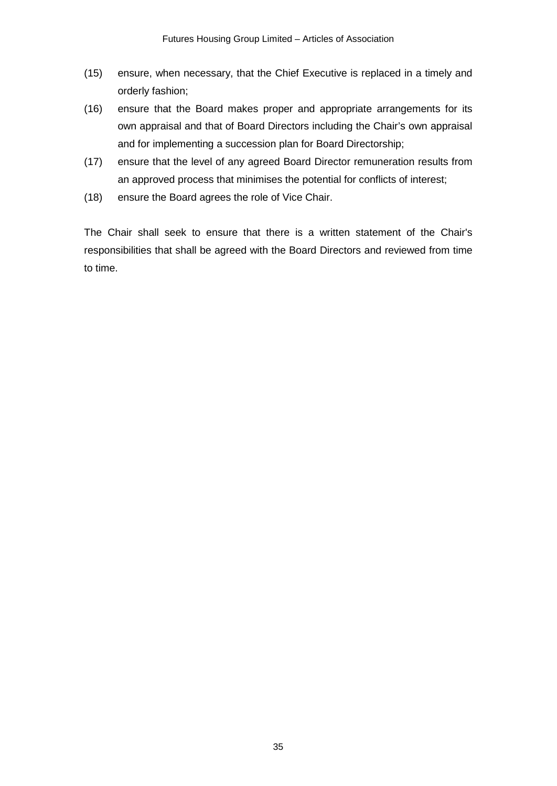- (15) ensure, when necessary, that the Chief Executive is replaced in a timely and orderly fashion;
- (16) ensure that the Board makes proper and appropriate arrangements for its own appraisal and that of Board Directors including the Chair's own appraisal and for implementing a succession plan for Board Directorship;
- (17) ensure that the level of any agreed Board Director remuneration results from an approved process that minimises the potential for conflicts of interest;
- (18) ensure the Board agrees the role of Vice Chair.

The Chair shall seek to ensure that there is a written statement of the Chair's responsibilities that shall be agreed with the Board Directors and reviewed from time to time.